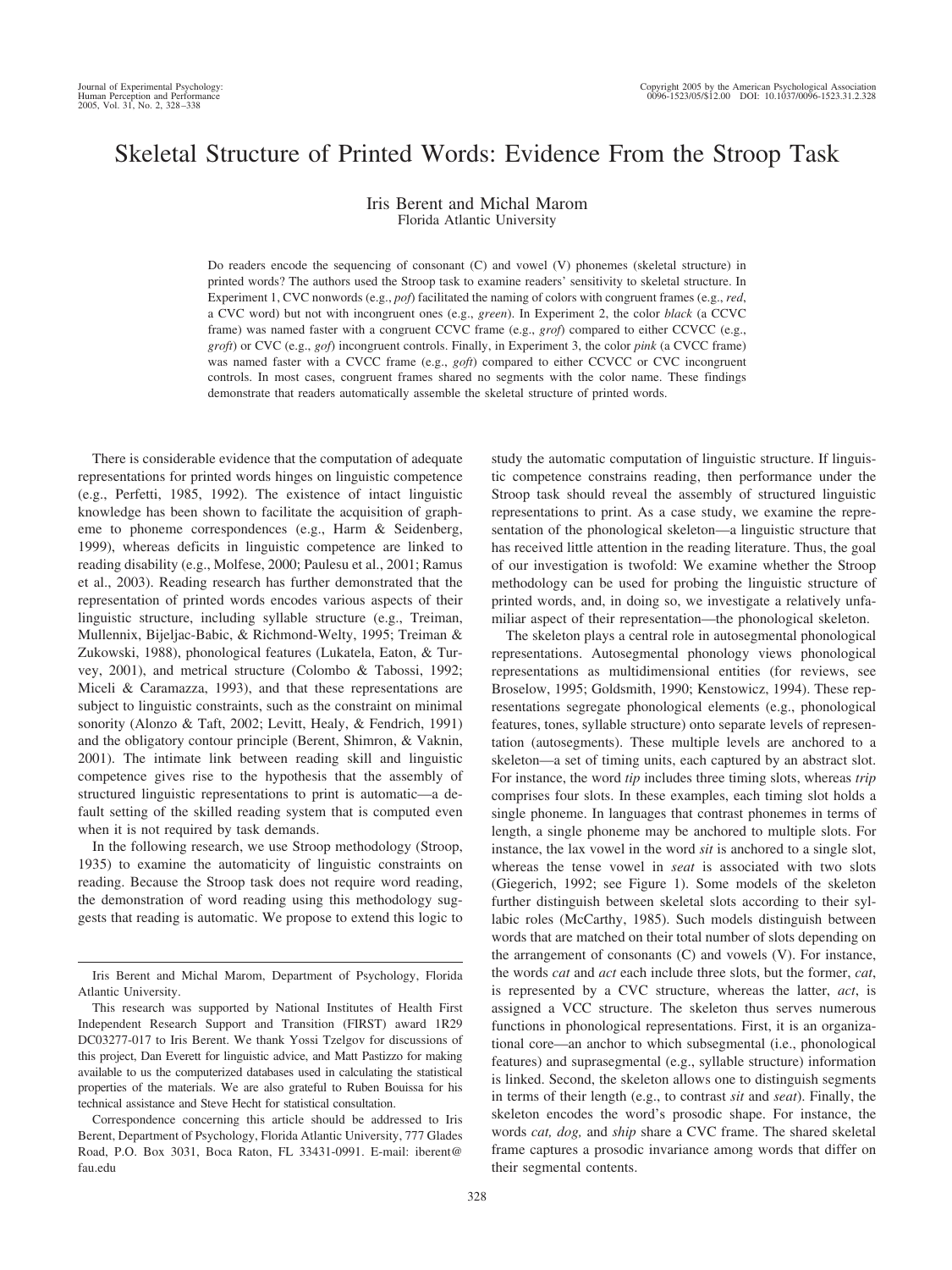# Skeletal Structure of Printed Words: Evidence From the Stroop Task

### Iris Berent and Michal Marom Florida Atlantic University

Do readers encode the sequencing of consonant (C) and vowel (V) phonemes (skeletal structure) in printed words? The authors used the Stroop task to examine readers' sensitivity to skeletal structure. In Experiment 1, CVC nonwords (e.g., *pof*) facilitated the naming of colors with congruent frames (e.g., *red*, a CVC word) but not with incongruent ones (e.g., *green*). In Experiment 2, the color *black* (a CCVC frame) was named faster with a congruent CCVC frame (e.g., *grof*) compared to either CCVCC (e.g., *groft*) or CVC (e.g., *gof*) incongruent controls. Finally, in Experiment 3, the color *pink* (a CVCC frame) was named faster with a CVCC frame (e.g., *goft*) compared to either CCVCC or CVC incongruent controls. In most cases, congruent frames shared no segments with the color name. These findings demonstrate that readers automatically assemble the skeletal structure of printed words.

There is considerable evidence that the computation of adequate representations for printed words hinges on linguistic competence (e.g., Perfetti, 1985, 1992). The existence of intact linguistic knowledge has been shown to facilitate the acquisition of grapheme to phoneme correspondences (e.g., Harm & Seidenberg, 1999), whereas deficits in linguistic competence are linked to reading disability (e.g., Molfese, 2000; Paulesu et al., 2001; Ramus et al., 2003). Reading research has further demonstrated that the representation of printed words encodes various aspects of their linguistic structure, including syllable structure (e.g., Treiman, Mullennix, Bijeljac-Babic, & Richmond-Welty, 1995; Treiman & Zukowski, 1988), phonological features (Lukatela, Eaton, & Turvey, 2001), and metrical structure (Colombo & Tabossi, 1992; Miceli & Caramazza, 1993), and that these representations are subject to linguistic constraints, such as the constraint on minimal sonority (Alonzo & Taft, 2002; Levitt, Healy, & Fendrich, 1991) and the obligatory contour principle (Berent, Shimron, & Vaknin, 2001). The intimate link between reading skill and linguistic competence gives rise to the hypothesis that the assembly of structured linguistic representations to print is automatic—a default setting of the skilled reading system that is computed even when it is not required by task demands.

In the following research, we use Stroop methodology (Stroop, 1935) to examine the automaticity of linguistic constraints on reading. Because the Stroop task does not require word reading, the demonstration of word reading using this methodology suggests that reading is automatic. We propose to extend this logic to

Correspondence concerning this article should be addressed to Iris Berent, Department of Psychology, Florida Atlantic University, 777 Glades Road, P.O. Box 3031, Boca Raton, FL 33431-0991. E-mail: iberent@ fau.edu

study the automatic computation of linguistic structure. If linguistic competence constrains reading, then performance under the Stroop task should reveal the assembly of structured linguistic representations to print. As a case study, we examine the representation of the phonological skeleton—a linguistic structure that has received little attention in the reading literature. Thus, the goal of our investigation is twofold: We examine whether the Stroop methodology can be used for probing the linguistic structure of printed words, and, in doing so, we investigate a relatively unfamiliar aspect of their representation—the phonological skeleton.

The skeleton plays a central role in autosegmental phonological representations. Autosegmental phonology views phonological representations as multidimensional entities (for reviews, see Broselow, 1995; Goldsmith, 1990; Kenstowicz, 1994). These representations segregate phonological elements (e.g., phonological features, tones, syllable structure) onto separate levels of representation (autosegments). These multiple levels are anchored to a skeleton—a set of timing units, each captured by an abstract slot. For instance, the word *tip* includes three timing slots, whereas *trip* comprises four slots. In these examples, each timing slot holds a single phoneme. In languages that contrast phonemes in terms of length, a single phoneme may be anchored to multiple slots. For instance, the lax vowel in the word *sit* is anchored to a single slot, whereas the tense vowel in *seat* is associated with two slots (Giegerich, 1992; see Figure 1). Some models of the skeleton further distinguish between skeletal slots according to their syllabic roles (McCarthy, 1985). Such models distinguish between words that are matched on their total number of slots depending on the arrangement of consonants (C) and vowels (V). For instance, the words *cat* and *act* each include three slots, but the former, *cat*, is represented by a CVC structure, whereas the latter, *act*, is assigned a VCC structure. The skeleton thus serves numerous functions in phonological representations. First, it is an organizational core—an anchor to which subsegmental (i.e., phonological features) and suprasegmental (e.g., syllable structure) information is linked. Second, the skeleton allows one to distinguish segments in terms of their length (e.g., to contrast *sit* and *seat*). Finally, the skeleton encodes the word's prosodic shape. For instance, the words *cat, dog,* and *ship* share a CVC frame. The shared skeletal frame captures a prosodic invariance among words that differ on their segmental contents.

Iris Berent and Michal Marom, Department of Psychology, Florida Atlantic University.

This research was supported by National Institutes of Health First Independent Research Support and Transition (FIRST) award 1R29 DC03277-017 to Iris Berent. We thank Yossi Tzelgov for discussions of this project, Dan Everett for linguistic advice, and Matt Pastizzo for making available to us the computerized databases used in calculating the statistical properties of the materials. We are also grateful to Ruben Bouissa for his technical assistance and Steve Hecht for statistical consultation.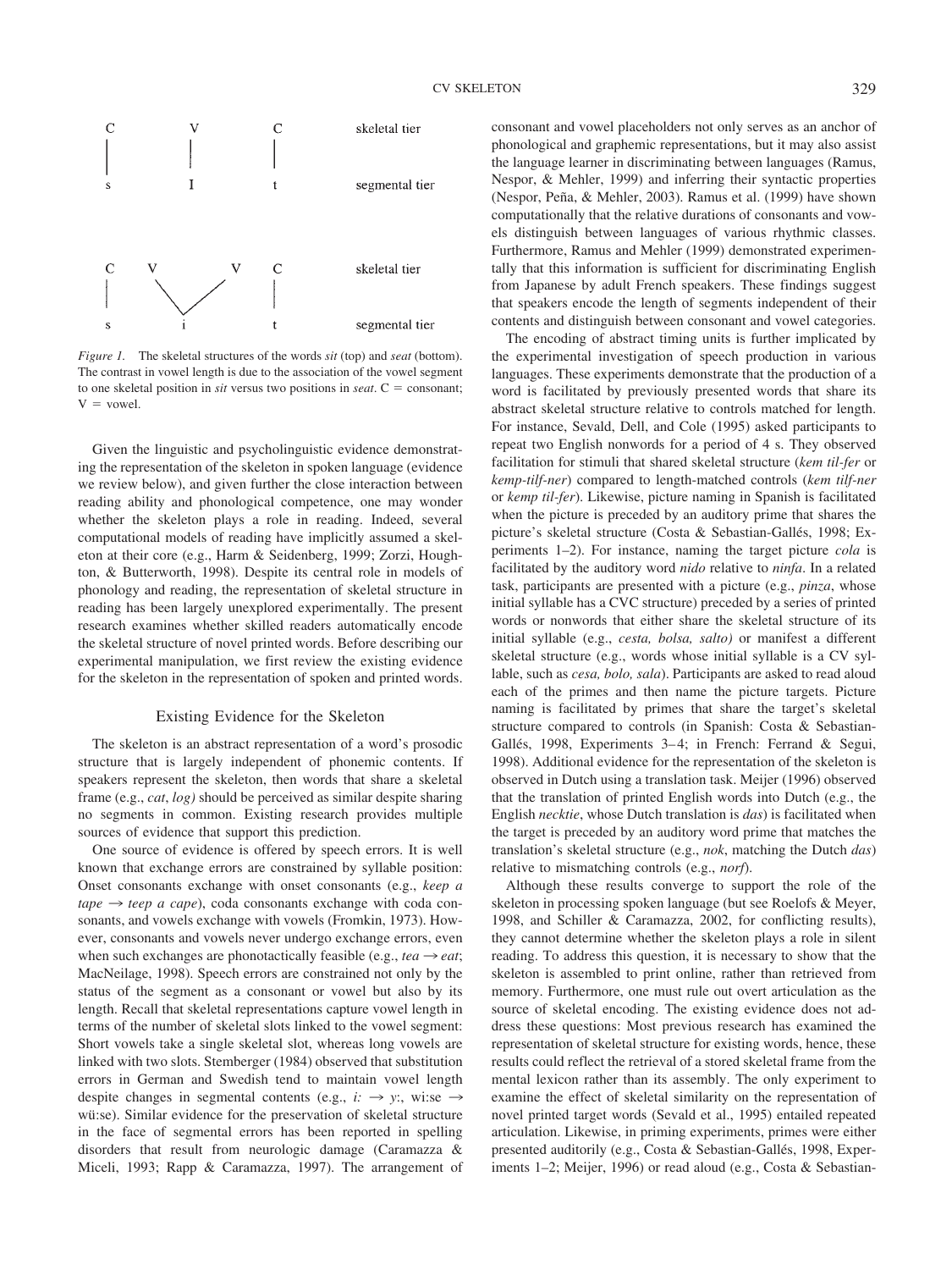

*Figure 1.* The skeletal structures of the words *sit* (top) and *seat* (bottom). The contrast in vowel length is due to the association of the vowel segment to one skeletal position in *sit* versus two positions in *seat*.  $C =$  consonant;  $V = v$  owel.

Given the linguistic and psycholinguistic evidence demonstrating the representation of the skeleton in spoken language (evidence we review below), and given further the close interaction between reading ability and phonological competence, one may wonder whether the skeleton plays a role in reading. Indeed, several computational models of reading have implicitly assumed a skeleton at their core (e.g., Harm & Seidenberg, 1999; Zorzi, Houghton, & Butterworth, 1998). Despite its central role in models of phonology and reading, the representation of skeletal structure in reading has been largely unexplored experimentally. The present research examines whether skilled readers automatically encode the skeletal structure of novel printed words. Before describing our experimental manipulation, we first review the existing evidence for the skeleton in the representation of spoken and printed words.

### Existing Evidence for the Skeleton

The skeleton is an abstract representation of a word's prosodic structure that is largely independent of phonemic contents. If speakers represent the skeleton, then words that share a skeletal frame (e.g., *cat*, *log)* should be perceived as similar despite sharing no segments in common. Existing research provides multiple sources of evidence that support this prediction.

One source of evidence is offered by speech errors. It is well known that exchange errors are constrained by syllable position: Onset consonants exchange with onset consonants (e.g., *keep a*  $\phi$  *tape*  $\rightarrow$  *teep a cape*), coda consonants exchange with coda consonants, and vowels exchange with vowels (Fromkin, 1973). However, consonants and vowels never undergo exchange errors, even when such exchanges are phonotactically feasible (e.g.,  $tea \rightarrow eat;$ MacNeilage, 1998). Speech errors are constrained not only by the status of the segment as a consonant or vowel but also by its length. Recall that skeletal representations capture vowel length in terms of the number of skeletal slots linked to the vowel segment: Short vowels take a single skeletal slot, whereas long vowels are linked with two slots. Stemberger (1984) observed that substitution errors in German and Swedish tend to maintain vowel length despite changes in segmental contents (e.g.,  $i: \rightarrow y$ :, wi:se  $\rightarrow$ wü:se). Similar evidence for the preservation of skeletal structure in the face of segmental errors has been reported in spelling disorders that result from neurologic damage (Caramazza & Miceli, 1993; Rapp & Caramazza, 1997). The arrangement of consonant and vowel placeholders not only serves as an anchor of phonological and graphemic representations, but it may also assist the language learner in discriminating between languages (Ramus, Nespor, & Mehler, 1999) and inferring their syntactic properties (Nespor, Peña, & Mehler, 2003). Ramus et al.  $(1999)$  have shown computationally that the relative durations of consonants and vowels distinguish between languages of various rhythmic classes. Furthermore, Ramus and Mehler (1999) demonstrated experimentally that this information is sufficient for discriminating English from Japanese by adult French speakers. These findings suggest that speakers encode the length of segments independent of their contents and distinguish between consonant and vowel categories.

The encoding of abstract timing units is further implicated by the experimental investigation of speech production in various languages. These experiments demonstrate that the production of a word is facilitated by previously presented words that share its abstract skeletal structure relative to controls matched for length. For instance, Sevald, Dell, and Cole (1995) asked participants to repeat two English nonwords for a period of 4 s. They observed facilitation for stimuli that shared skeletal structure (*kem til-fer* or *kemp-tilf-ner*) compared to length-matched controls (*kem tilf-ner* or *kemp til-fer*). Likewise, picture naming in Spanish is facilitated when the picture is preceded by an auditory prime that shares the picture's skeletal structure (Costa & Sebastian-Gallés, 1998; Experiments 1–2). For instance, naming the target picture *cola* is facilitated by the auditory word *nido* relative to *ninfa*. In a related task, participants are presented with a picture (e.g., *pinza*, whose initial syllable has a CVC structure) preceded by a series of printed words or nonwords that either share the skeletal structure of its initial syllable (e.g., *cesta, bolsa, salto)* or manifest a different skeletal structure (e.g., words whose initial syllable is a CV syllable, such as *cesa, bolo, sala*). Participants are asked to read aloud each of the primes and then name the picture targets. Picture naming is facilitated by primes that share the target's skeletal structure compared to controls (in Spanish: Costa & Sebastian-Gallés, 1998, Experiments 3–4; in French: Ferrand & Segui, 1998). Additional evidence for the representation of the skeleton is observed in Dutch using a translation task. Meijer (1996) observed that the translation of printed English words into Dutch (e.g., the English *necktie*, whose Dutch translation is *das*) is facilitated when the target is preceded by an auditory word prime that matches the translation's skeletal structure (e.g., *nok*, matching the Dutch *das*) relative to mismatching controls (e.g., *norf*).

Although these results converge to support the role of the skeleton in processing spoken language (but see Roelofs & Meyer, 1998, and Schiller & Caramazza, 2002, for conflicting results), they cannot determine whether the skeleton plays a role in silent reading. To address this question, it is necessary to show that the skeleton is assembled to print online, rather than retrieved from memory. Furthermore, one must rule out overt articulation as the source of skeletal encoding. The existing evidence does not address these questions: Most previous research has examined the representation of skeletal structure for existing words, hence, these results could reflect the retrieval of a stored skeletal frame from the mental lexicon rather than its assembly. The only experiment to examine the effect of skeletal similarity on the representation of novel printed target words (Sevald et al., 1995) entailed repeated articulation. Likewise, in priming experiments, primes were either presented auditorily (e.g., Costa & Sebastian-Gallés, 1998, Experiments 1–2; Meijer, 1996) or read aloud (e.g., Costa & Sebastian-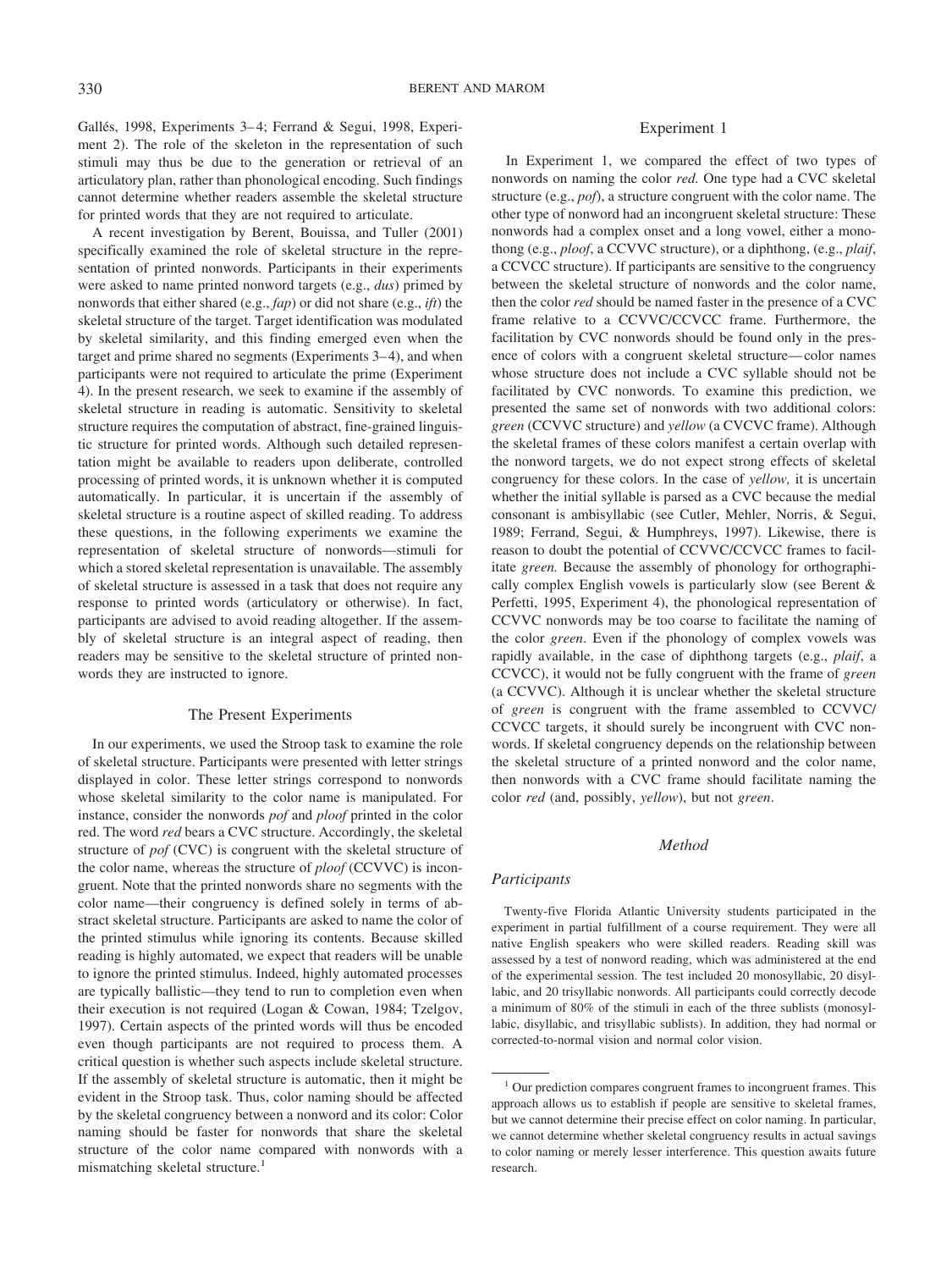Gallés, 1998, Experiments 3–4; Ferrand & Segui, 1998, Experiment 2). The role of the skeleton in the representation of such stimuli may thus be due to the generation or retrieval of an articulatory plan, rather than phonological encoding. Such findings cannot determine whether readers assemble the skeletal structure for printed words that they are not required to articulate.

A recent investigation by Berent, Bouissa, and Tuller (2001) specifically examined the role of skeletal structure in the representation of printed nonwords. Participants in their experiments were asked to name printed nonword targets (e.g., *dus*) primed by nonwords that either shared (e.g., *fap*) or did not share (e.g., *ift*) the skeletal structure of the target. Target identification was modulated by skeletal similarity, and this finding emerged even when the target and prime shared no segments (Experiments 3–4), and when participants were not required to articulate the prime (Experiment 4). In the present research, we seek to examine if the assembly of skeletal structure in reading is automatic. Sensitivity to skeletal structure requires the computation of abstract, fine-grained linguistic structure for printed words. Although such detailed representation might be available to readers upon deliberate, controlled processing of printed words, it is unknown whether it is computed automatically. In particular, it is uncertain if the assembly of skeletal structure is a routine aspect of skilled reading. To address these questions, in the following experiments we examine the representation of skeletal structure of nonwords—stimuli for which a stored skeletal representation is unavailable. The assembly of skeletal structure is assessed in a task that does not require any response to printed words (articulatory or otherwise). In fact, participants are advised to avoid reading altogether. If the assembly of skeletal structure is an integral aspect of reading, then readers may be sensitive to the skeletal structure of printed nonwords they are instructed to ignore.

### The Present Experiments

In our experiments, we used the Stroop task to examine the role of skeletal structure. Participants were presented with letter strings displayed in color. These letter strings correspond to nonwords whose skeletal similarity to the color name is manipulated. For instance, consider the nonwords *pof* and *ploof* printed in the color red. The word *red* bears a CVC structure. Accordingly, the skeletal structure of *pof* (CVC) is congruent with the skeletal structure of the color name, whereas the structure of *ploof* (CCVVC) is incongruent. Note that the printed nonwords share no segments with the color name—their congruency is defined solely in terms of abstract skeletal structure. Participants are asked to name the color of the printed stimulus while ignoring its contents. Because skilled reading is highly automated, we expect that readers will be unable to ignore the printed stimulus. Indeed, highly automated processes are typically ballistic—they tend to run to completion even when their execution is not required (Logan & Cowan, 1984; Tzelgov, 1997). Certain aspects of the printed words will thus be encoded even though participants are not required to process them. A critical question is whether such aspects include skeletal structure. If the assembly of skeletal structure is automatic, then it might be evident in the Stroop task. Thus, color naming should be affected by the skeletal congruency between a nonword and its color: Color naming should be faster for nonwords that share the skeletal structure of the color name compared with nonwords with a mismatching skeletal structure.<sup>1</sup>

### Experiment 1

In Experiment 1, we compared the effect of two types of nonwords on naming the color *red.* One type had a CVC skeletal structure (e.g., *pof*), a structure congruent with the color name. The other type of nonword had an incongruent skeletal structure: These nonwords had a complex onset and a long vowel, either a monothong (e.g., *ploof*, a CCVVC structure), or a diphthong, (e.g., *plaif*, a CCVCC structure). If participants are sensitive to the congruency between the skeletal structure of nonwords and the color name, then the color *red* should be named faster in the presence of a CVC frame relative to a CCVVC/CCVCC frame. Furthermore, the facilitation by CVC nonwords should be found only in the presence of colors with a congruent skeletal structure— color names whose structure does not include a CVC syllable should not be facilitated by CVC nonwords. To examine this prediction, we presented the same set of nonwords with two additional colors: *green* (CCVVC structure) and *yellow* (a CVCVC frame). Although the skeletal frames of these colors manifest a certain overlap with the nonword targets, we do not expect strong effects of skeletal congruency for these colors. In the case of *yellow,* it is uncertain whether the initial syllable is parsed as a CVC because the medial consonant is ambisyllabic (see Cutler, Mehler, Norris, & Segui, 1989; Ferrand, Segui, & Humphreys, 1997). Likewise, there is reason to doubt the potential of CCVVC/CCVCC frames to facilitate *green.* Because the assembly of phonology for orthographically complex English vowels is particularly slow (see Berent & Perfetti, 1995, Experiment 4), the phonological representation of CCVVC nonwords may be too coarse to facilitate the naming of the color *green*. Even if the phonology of complex vowels was rapidly available, in the case of diphthong targets (e.g., *plaif*, a CCVCC), it would not be fully congruent with the frame of *green* (a CCVVC). Although it is unclear whether the skeletal structure of *green* is congruent with the frame assembled to CCVVC/ CCVCC targets, it should surely be incongruent with CVC nonwords. If skeletal congruency depends on the relationship between the skeletal structure of a printed nonword and the color name, then nonwords with a CVC frame should facilitate naming the color *red* (and, possibly, *yellow*), but not *green*.

### *Method*

#### *Participants*

Twenty-five Florida Atlantic University students participated in the experiment in partial fulfillment of a course requirement. They were all native English speakers who were skilled readers. Reading skill was assessed by a test of nonword reading, which was administered at the end of the experimental session. The test included 20 monosyllabic, 20 disyllabic, and 20 trisyllabic nonwords. All participants could correctly decode a minimum of 80% of the stimuli in each of the three sublists (monosyllabic, disyllabic, and trisyllabic sublists). In addition, they had normal or corrected-to-normal vision and normal color vision.

<sup>&</sup>lt;sup>1</sup> Our prediction compares congruent frames to incongruent frames. This approach allows us to establish if people are sensitive to skeletal frames, but we cannot determine their precise effect on color naming. In particular, we cannot determine whether skeletal congruency results in actual savings to color naming or merely lesser interference. This question awaits future research.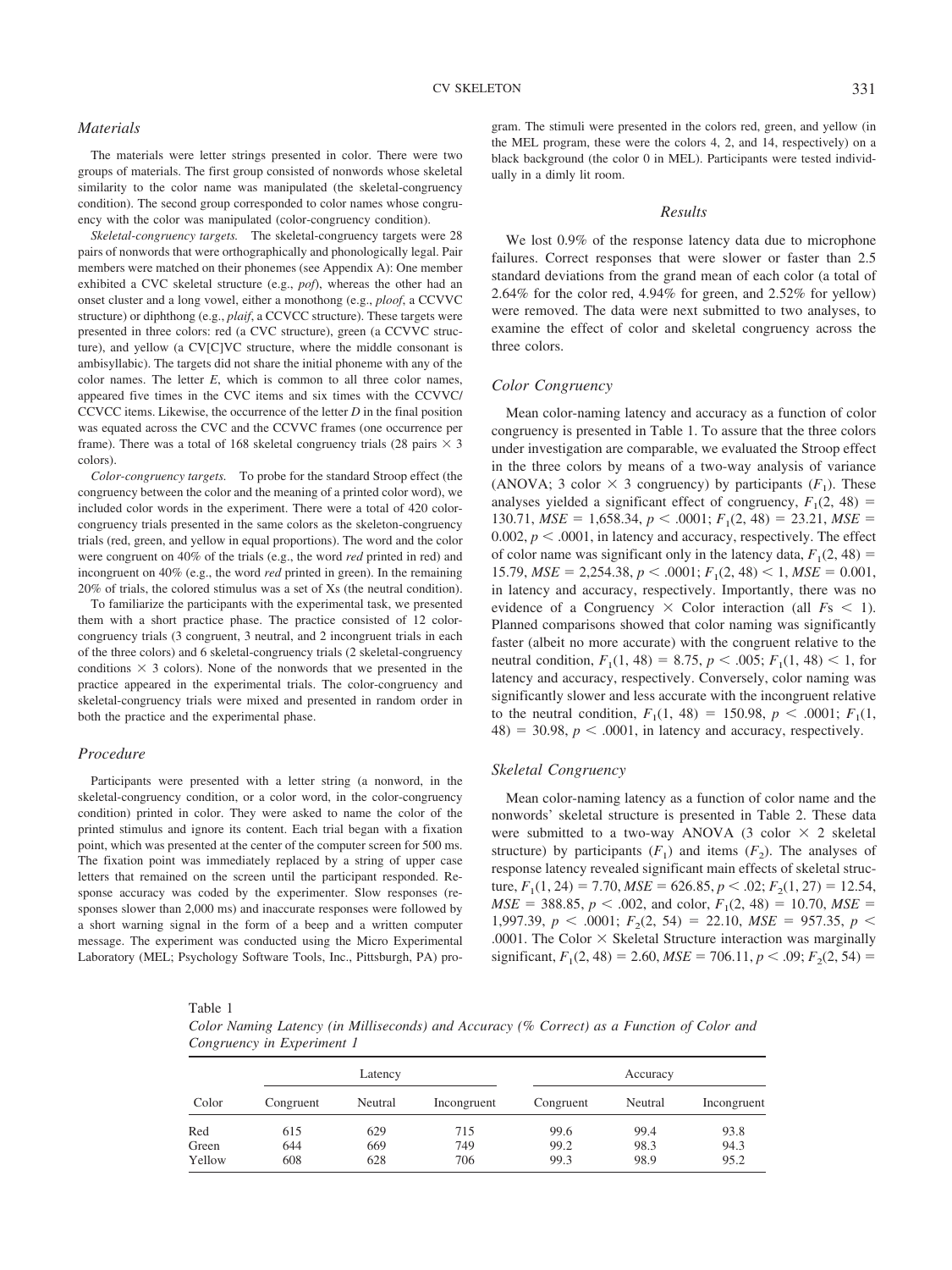### *Materials*

The materials were letter strings presented in color. There were two groups of materials. The first group consisted of nonwords whose skeletal similarity to the color name was manipulated (the skeletal-congruency condition). The second group corresponded to color names whose congruency with the color was manipulated (color-congruency condition).

*Skeletal-congruency targets.* The skeletal-congruency targets were 28 pairs of nonwords that were orthographically and phonologically legal. Pair members were matched on their phonemes (see Appendix A): One member exhibited a CVC skeletal structure (e.g., *pof*), whereas the other had an onset cluster and a long vowel, either a monothong (e.g., *ploof*, a CCVVC structure) or diphthong (e.g., *plaif*, a CCVCC structure). These targets were presented in three colors: red (a CVC structure), green (a CCVVC structure), and yellow (a CV[C]VC structure, where the middle consonant is ambisyllabic). The targets did not share the initial phoneme with any of the color names. The letter *E*, which is common to all three color names, appeared five times in the CVC items and six times with the CCVVC/ CCVCC items. Likewise, the occurrence of the letter *D* in the final position was equated across the CVC and the CCVVC frames (one occurrence per frame). There was a total of 168 skeletal congruency trials (28 pairs  $\times$  3 colors).

*Color-congruency targets.* To probe for the standard Stroop effect (the congruency between the color and the meaning of a printed color word), we included color words in the experiment. There were a total of 420 colorcongruency trials presented in the same colors as the skeleton-congruency trials (red, green, and yellow in equal proportions). The word and the color were congruent on 40% of the trials (e.g., the word *red* printed in red) and incongruent on 40% (e.g., the word *red* printed in green). In the remaining 20% of trials, the colored stimulus was a set of Xs (the neutral condition).

To familiarize the participants with the experimental task, we presented them with a short practice phase. The practice consisted of 12 colorcongruency trials (3 congruent, 3 neutral, and 2 incongruent trials in each of the three colors) and 6 skeletal-congruency trials (2 skeletal-congruency conditions  $\times$  3 colors). None of the nonwords that we presented in the practice appeared in the experimental trials. The color-congruency and skeletal-congruency trials were mixed and presented in random order in both the practice and the experimental phase.

#### *Procedure*

Participants were presented with a letter string (a nonword, in the skeletal-congruency condition, or a color word, in the color-congruency condition) printed in color. They were asked to name the color of the printed stimulus and ignore its content. Each trial began with a fixation point, which was presented at the center of the computer screen for 500 ms. The fixation point was immediately replaced by a string of upper case letters that remained on the screen until the participant responded. Response accuracy was coded by the experimenter. Slow responses (responses slower than 2,000 ms) and inaccurate responses were followed by a short warning signal in the form of a beep and a written computer message. The experiment was conducted using the Micro Experimental Laboratory (MEL; Psychology Software Tools, Inc., Pittsburgh, PA) program. The stimuli were presented in the colors red, green, and yellow (in the MEL program, these were the colors 4, 2, and 14, respectively) on a black background (the color 0 in MEL). Participants were tested individually in a dimly lit room.

### *Results*

We lost  $0.9\%$  of the response latency data due to microphone failures. Correct responses that were slower or faster than 2.5 standard deviations from the grand mean of each color (a total of 2.64% for the color red, 4.94% for green, and 2.52% for yellow) were removed. The data were next submitted to two analyses, to examine the effect of color and skeletal congruency across the three colors.

### *Color Congruency*

Mean color-naming latency and accuracy as a function of color congruency is presented in Table 1. To assure that the three colors under investigation are comparable, we evaluated the Stroop effect in the three colors by means of a two-way analysis of variance (ANOVA; 3 color  $\times$  3 congruency) by participants ( $F_1$ ). These analyses yielded a significant effect of congruency,  $F_1(2, 48) =$ 130.71,  $MSE = 1,658.34, p < .0001; F_1(2, 48) = 23.21, MSE =$ 0.002,  $p < .0001$ , in latency and accuracy, respectively. The effect of color name was significant only in the latency data,  $F_1(2, 48) =$ 15.79,  $MSE = 2,254.38, p < .0001; F_1(2, 48) < 1, MSE = 0.001,$ in latency and accuracy, respectively. Importantly, there was no evidence of a Congruency  $\times$  Color interaction (all  $Fs < 1$ ). Planned comparisons showed that color naming was significantly faster (albeit no more accurate) with the congruent relative to the neutral condition,  $F_1(1, 48) = 8.75$ ,  $p < .005$ ;  $F_1(1, 48) < 1$ , for latency and accuracy, respectively. Conversely, color naming was significantly slower and less accurate with the incongruent relative to the neutral condition,  $F_1(1, 48) = 150.98$ ,  $p < .0001$ ;  $F_1(1, 48) = 150.98$  $48) = 30.98$ ,  $p < .0001$ , in latency and accuracy, respectively.

#### *Skeletal Congruency*

Mean color-naming latency as a function of color name and the nonwords' skeletal structure is presented in Table 2. These data were submitted to a two-way ANOVA (3 color  $\times$  2 skeletal structure) by participants  $(F_1)$  and items  $(F_2)$ . The analyses of response latency revealed significant main effects of skeletal structure,  $F_1(1, 24) = 7.70$ ,  $MSE = 626.85$ ,  $p < .02$ ;  $F_2(1, 27) = 12.54$ ,  $MSE = 388.85$ ,  $p < .002$ , and color,  $F<sub>1</sub>(2, 48) = 10.70$ ,  $MSE =$ 1,997.39,  $p < .0001$ ;  $F<sub>2</sub>(2, 54) = 22.10$ ,  $MSE = 957.35$ ,  $p <$ .0001. The Color  $\times$  Skeletal Structure interaction was marginally significant,  $F_1(2, 48) = 2.60$ ,  $MSE = 706.11$ ,  $p < .09$ ;  $F_2(2, 54) =$ 

Table 1

*Color Naming Latency (in Milliseconds) and Accuracy (% Correct) as a Function of Color and Congruency in Experiment 1*

|        |           | Latency |             |           | Accuracy |             |
|--------|-----------|---------|-------------|-----------|----------|-------------|
| Color  | Congruent | Neutral | Incongruent | Congruent | Neutral  | Incongruent |
| Red    | 615       | 629     | 715         | 99.6      | 99.4     | 93.8        |
| Green  | 644       | 669     | 749         | 99.2      | 98.3     | 94.3        |
| Yellow | 608       | 628     | 706         | 99.3      | 98.9     | 95.2        |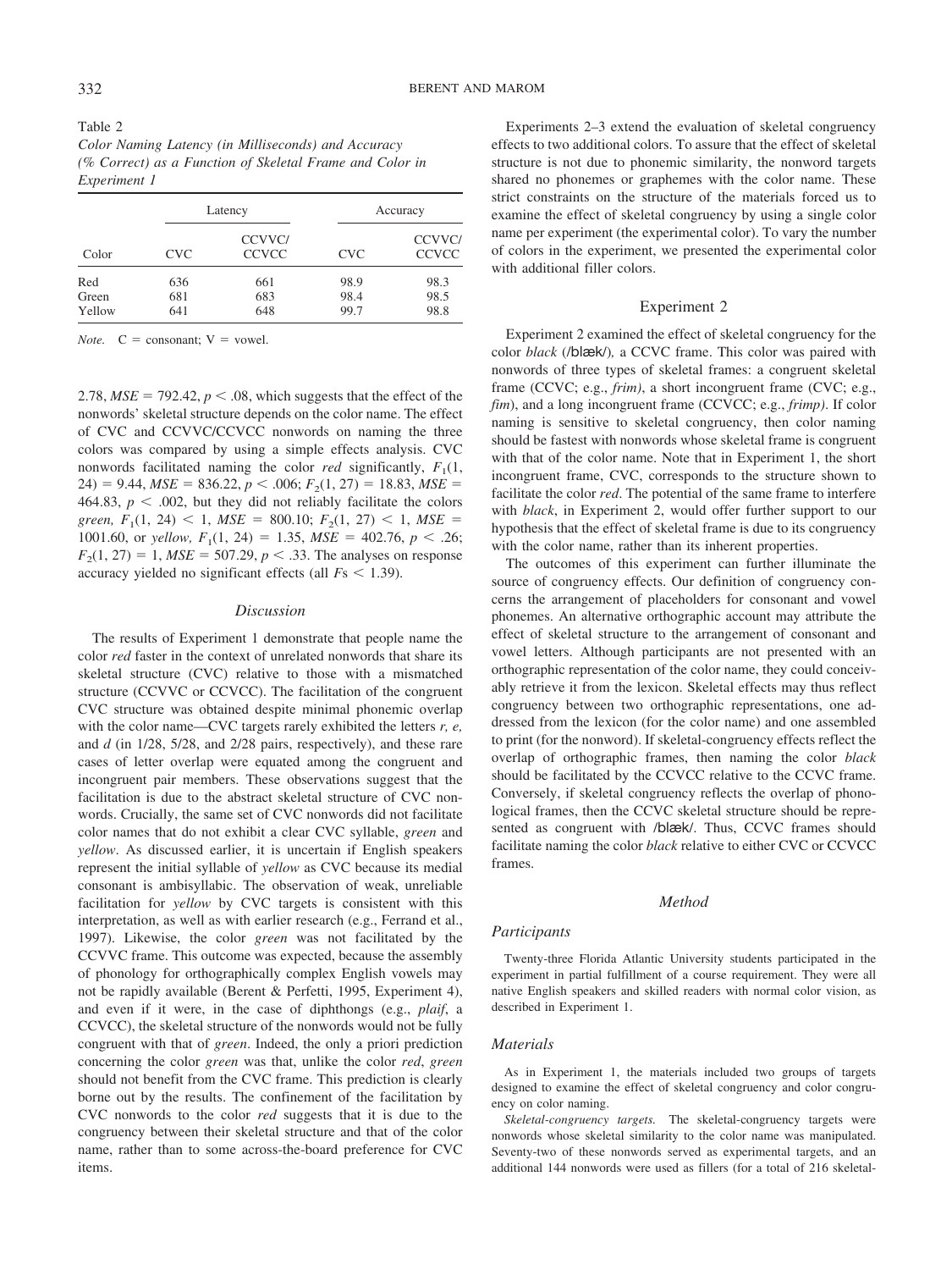| Table 2                                                  |
|----------------------------------------------------------|
| Color Naming Latency (in Milliseconds) and Accuracy      |
| (% Correct) as a Function of Skeletal Frame and Color in |
| <i>Experiment 1</i>                                      |

|                 | Latency    |                        | Accuracy     |                        |
|-----------------|------------|------------------------|--------------|------------------------|
| Color           | <b>CVC</b> | CCVVC/<br><b>CCVCC</b> | <b>CVC</b>   | CCVVC/<br><b>CCVCC</b> |
| Red             | 636        | 661                    | 98.9         | 98.3                   |
| Green<br>Yellow | 681<br>641 | 683<br>648             | 98.4<br>99.7 | 98.5<br>98.8           |

*Note.*  $C =$  consonant;  $V =$  vowel.

2.78,  $MSE = 792.42$ ,  $p < .08$ , which suggests that the effect of the nonwords' skeletal structure depends on the color name. The effect of CVC and CCVVC/CCVCC nonwords on naming the three colors was compared by using a simple effects analysis. CVC nonwords facilitated naming the color *red* significantly,  $F_1(1,$  $24$ ) = 9.44, *MSE* = 836.22, *p* < .006;  $F_2(1, 27) = 18.83$ , *MSE* = 464.83,  $p < .002$ , but they did not reliably facilitate the colors *green,*  $F_1(1, 24) < 1$ ,  $MSE = 800.10$ ;  $F_2(1, 27) < 1$ ,  $MSE =$ 1001.60, or *yellow,*  $F_1(1, 24) = 1.35$ ,  $MSE = 402.76$ ,  $p < .26$ ;  $F_2(1, 27) = 1$ ,  $MSE = 507.29$ ,  $p < .33$ . The analyses on response accuracy yielded no significant effects (all *Fs* < 1.39).

#### *Discussion*

The results of Experiment 1 demonstrate that people name the color *red* faster in the context of unrelated nonwords that share its skeletal structure (CVC) relative to those with a mismatched structure (CCVVC or CCVCC). The facilitation of the congruent CVC structure was obtained despite minimal phonemic overlap with the color name—CVC targets rarely exhibited the letters *r, e,* and *d* (in 1/28, 5/28, and 2/28 pairs, respectively), and these rare cases of letter overlap were equated among the congruent and incongruent pair members. These observations suggest that the facilitation is due to the abstract skeletal structure of CVC nonwords. Crucially, the same set of CVC nonwords did not facilitate color names that do not exhibit a clear CVC syllable, *green* and *yellow*. As discussed earlier, it is uncertain if English speakers represent the initial syllable of *yellow* as CVC because its medial consonant is ambisyllabic. The observation of weak, unreliable facilitation for *yellow* by CVC targets is consistent with this interpretation, as well as with earlier research (e.g., Ferrand et al., 1997). Likewise, the color *green* was not facilitated by the CCVVC frame. This outcome was expected, because the assembly of phonology for orthographically complex English vowels may not be rapidly available (Berent & Perfetti, 1995, Experiment 4), and even if it were, in the case of diphthongs (e.g., *plaif*, a CCVCC), the skeletal structure of the nonwords would not be fully congruent with that of *green*. Indeed, the only a priori prediction concerning the color *green* was that, unlike the color *red*, *green* should not benefit from the CVC frame. This prediction is clearly borne out by the results. The confinement of the facilitation by CVC nonwords to the color *red* suggests that it is due to the congruency between their skeletal structure and that of the color name, rather than to some across-the-board preference for CVC items.

Experiments 2–3 extend the evaluation of skeletal congruency effects to two additional colors. To assure that the effect of skeletal structure is not due to phonemic similarity, the nonword targets shared no phonemes or graphemes with the color name. These strict constraints on the structure of the materials forced us to examine the effect of skeletal congruency by using a single color name per experiment (the experimental color). To vary the number of colors in the experiment, we presented the experimental color with additional filler colors.

### Experiment 2

Experiment 2 examined the effect of skeletal congruency for the color *black* (/blæk/)*,* a CCVC frame. This color was paired with nonwords of three types of skeletal frames: a congruent skeletal frame (CCVC; e.g., *frim)*, a short incongruent frame (CVC; e.g., *fim*), and a long incongruent frame (CCVCC; e.g., *frimp)*. If color naming is sensitive to skeletal congruency, then color naming should be fastest with nonwords whose skeletal frame is congruent with that of the color name. Note that in Experiment 1, the short incongruent frame, CVC, corresponds to the structure shown to facilitate the color *red*. The potential of the same frame to interfere with *black*, in Experiment 2, would offer further support to our hypothesis that the effect of skeletal frame is due to its congruency with the color name, rather than its inherent properties.

The outcomes of this experiment can further illuminate the source of congruency effects. Our definition of congruency concerns the arrangement of placeholders for consonant and vowel phonemes. An alternative orthographic account may attribute the effect of skeletal structure to the arrangement of consonant and vowel letters. Although participants are not presented with an orthographic representation of the color name, they could conceivably retrieve it from the lexicon. Skeletal effects may thus reflect congruency between two orthographic representations, one addressed from the lexicon (for the color name) and one assembled to print (for the nonword). If skeletal-congruency effects reflect the overlap of orthographic frames, then naming the color *black* should be facilitated by the CCVCC relative to the CCVC frame. Conversely, if skeletal congruency reflects the overlap of phonological frames, then the CCVC skeletal structure should be represented as congruent with /blæk/. Thus, CCVC frames should facilitate naming the color *black* relative to either CVC or CCVCC frames.

### *Method*

#### *Participants*

Twenty-three Florida Atlantic University students participated in the experiment in partial fulfillment of a course requirement. They were all native English speakers and skilled readers with normal color vision, as described in Experiment 1.

#### *Materials*

As in Experiment 1, the materials included two groups of targets designed to examine the effect of skeletal congruency and color congruency on color naming.

*Skeletal-congruency targets.* The skeletal-congruency targets were nonwords whose skeletal similarity to the color name was manipulated. Seventy-two of these nonwords served as experimental targets, and an additional 144 nonwords were used as fillers (for a total of 216 skeletal-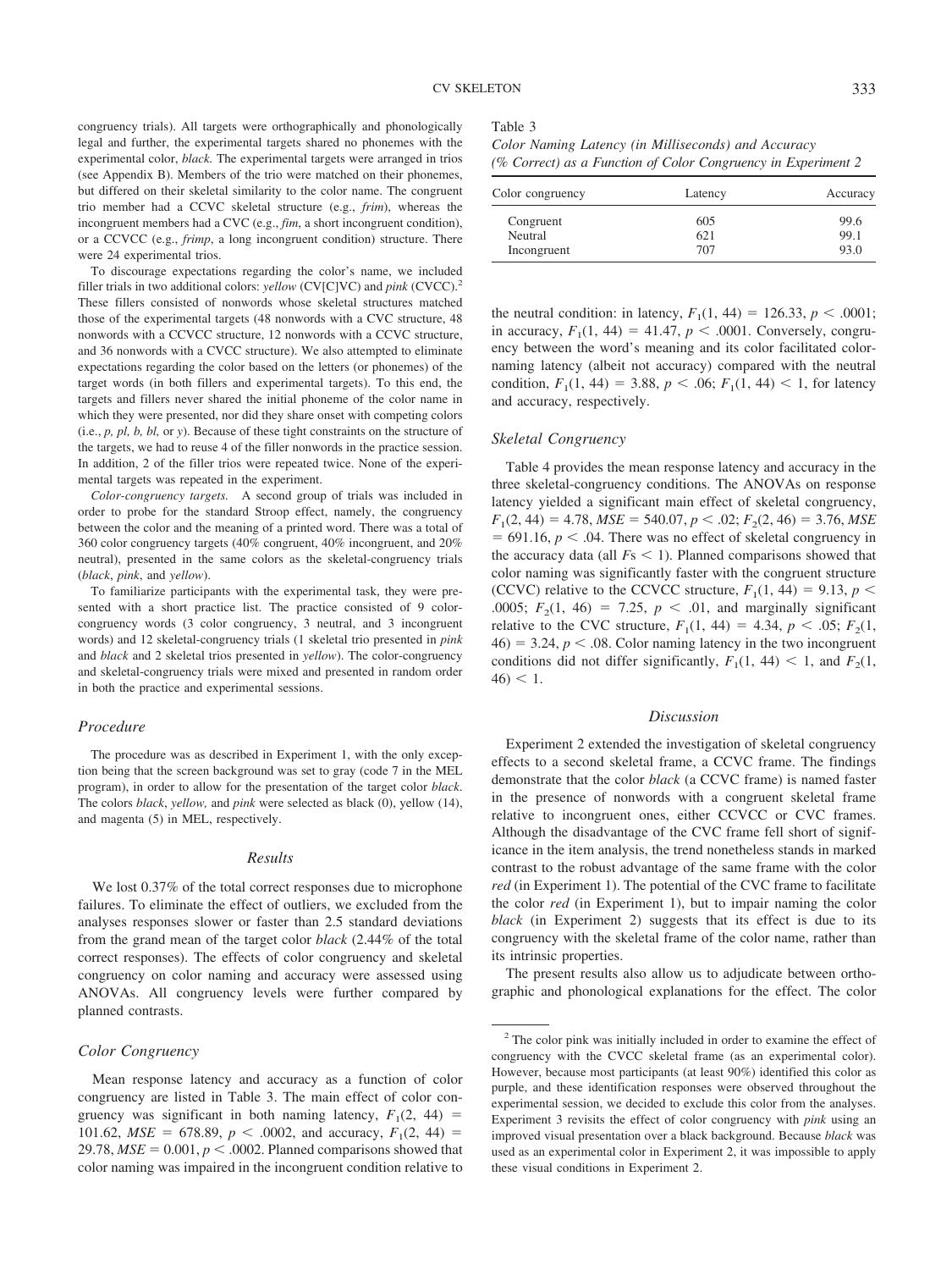congruency trials). All targets were orthographically and phonologically legal and further, the experimental targets shared no phonemes with the experimental color, *black.* The experimental targets were arranged in trios (see Appendix B). Members of the trio were matched on their phonemes, but differed on their skeletal similarity to the color name. The congruent trio member had a CCVC skeletal structure (e.g., *frim*), whereas the incongruent members had a CVC (e.g., *fim*, a short incongruent condition), or a CCVCC (e.g., *frimp*, a long incongruent condition) structure. There were 24 experimental trios.

To discourage expectations regarding the color's name, we included filler trials in two additional colors: *yellow* (CV[C]VC) and *pink* (CVCC).2 These fillers consisted of nonwords whose skeletal structures matched those of the experimental targets (48 nonwords with a CVC structure, 48 nonwords with a CCVCC structure, 12 nonwords with a CCVC structure, and 36 nonwords with a CVCC structure). We also attempted to eliminate expectations regarding the color based on the letters (or phonemes) of the target words (in both fillers and experimental targets). To this end, the targets and fillers never shared the initial phoneme of the color name in which they were presented, nor did they share onset with competing colors (i.e., *p, pl, b, bl,* or *y*). Because of these tight constraints on the structure of the targets, we had to reuse 4 of the filler nonwords in the practice session. In addition, 2 of the filler trios were repeated twice. None of the experimental targets was repeated in the experiment.

*Color-congruency targets.* A second group of trials was included in order to probe for the standard Stroop effect, namely, the congruency between the color and the meaning of a printed word. There was a total of 360 color congruency targets (40% congruent, 40% incongruent, and 20% neutral), presented in the same colors as the skeletal-congruency trials (*black*, *pink*, and *yellow*).

To familiarize participants with the experimental task, they were presented with a short practice list. The practice consisted of 9 colorcongruency words (3 color congruency, 3 neutral, and 3 incongruent words) and 12 skeletal-congruency trials (1 skeletal trio presented in *pink* and *black* and 2 skeletal trios presented in *yellow*). The color-congruency and skeletal-congruency trials were mixed and presented in random order in both the practice and experimental sessions.

#### *Procedure*

The procedure was as described in Experiment 1, with the only exception being that the screen background was set to gray (code 7 in the MEL program), in order to allow for the presentation of the target color *black*. The colors *black*, *yellow,* and *pink* were selected as black (0), yellow (14), and magenta (5) in MEL, respectively.

#### *Results*

We lost  $0.37\%$  of the total correct responses due to microphone failures. To eliminate the effect of outliers, we excluded from the analyses responses slower or faster than 2.5 standard deviations from the grand mean of the target color *black* (2.44% of the total correct responses). The effects of color congruency and skeletal congruency on color naming and accuracy were assessed using ANOVAs. All congruency levels were further compared by planned contrasts.

#### *Color Congruency*

Mean response latency and accuracy as a function of color congruency are listed in Table 3. The main effect of color congruency was significant in both naming latency,  $F_1(2, 44) =$ 101.62,  $MSE = 678.89$ ,  $p < .0002$ , and accuracy,  $F_1(2, 44) =$ 29.78,  $MSE = 0.001$ ,  $p < .0002$ . Planned comparisons showed that color naming was impaired in the incongruent condition relative to

### Table 3

*Color Naming Latency (in Milliseconds) and Accuracy (% Correct) as a Function of Color Congruency in Experiment 2*

| Color congruency | Latency | Accuracy |  |
|------------------|---------|----------|--|
| Congruent        | 605     | 99.6     |  |
| Neutral          | 621     | 99.1     |  |
| Incongruent      | 707     | 93.0     |  |

the neutral condition: in latency,  $F_1(1, 44) = 126.33, p < .0001;$ in accuracy,  $F_1(1, 44) = 41.47$ ,  $p < .0001$ . Conversely, congruency between the word's meaning and its color facilitated colornaming latency (albeit not accuracy) compared with the neutral condition,  $F_1(1, 44) = 3.88$ ,  $p < .06$ ;  $F_1(1, 44) < 1$ , for latency and accuracy, respectively.

#### *Skeletal Congruency*

Table 4 provides the mean response latency and accuracy in the three skeletal-congruency conditions. The ANOVAs on response latency yielded a significant main effect of skeletal congruency,  $F_1(2, 44) = 4.78$ ,  $MSE = 540.07$ ,  $p < .02$ ;  $F_2(2, 46) = 3.76$ ,  $MSE$  $= 691.16$ ,  $p < .04$ . There was no effect of skeletal congruency in the accuracy data (all  $Fs < 1$ ). Planned comparisons showed that color naming was significantly faster with the congruent structure (CCVC) relative to the CCVCC structure,  $F_1(1, 44) = 9.13$ ,  $p <$ .0005;  $F_2(1, 46) = 7.25$ ,  $p < .01$ , and marginally significant relative to the CVC structure,  $F_1(1, 44) = 4.34$ ,  $p < .05$ ;  $F_2(1, 44)$  $46$ ) = 3.24,  $p < .08$ . Color naming latency in the two incongruent conditions did not differ significantly,  $F_1(1, 44) < 1$ , and  $F_2(1, 44)$  $46$ ) < 1.

### *Discussion*

Experiment 2 extended the investigation of skeletal congruency effects to a second skeletal frame, a CCVC frame. The findings demonstrate that the color *black* (a CCVC frame) is named faster in the presence of nonwords with a congruent skeletal frame relative to incongruent ones, either CCVCC or CVC frames. Although the disadvantage of the CVC frame fell short of significance in the item analysis, the trend nonetheless stands in marked contrast to the robust advantage of the same frame with the color *red* (in Experiment 1). The potential of the CVC frame to facilitate the color *red* (in Experiment 1), but to impair naming the color *black* (in Experiment 2) suggests that its effect is due to its congruency with the skeletal frame of the color name, rather than its intrinsic properties.

The present results also allow us to adjudicate between orthographic and phonological explanations for the effect. The color

<sup>&</sup>lt;sup>2</sup> The color pink was initially included in order to examine the effect of congruency with the CVCC skeletal frame (as an experimental color). However, because most participants (at least 90%) identified this color as purple, and these identification responses were observed throughout the experimental session, we decided to exclude this color from the analyses. Experiment 3 revisits the effect of color congruency with *pink* using an improved visual presentation over a black background. Because *black* was used as an experimental color in Experiment 2, it was impossible to apply these visual conditions in Experiment 2.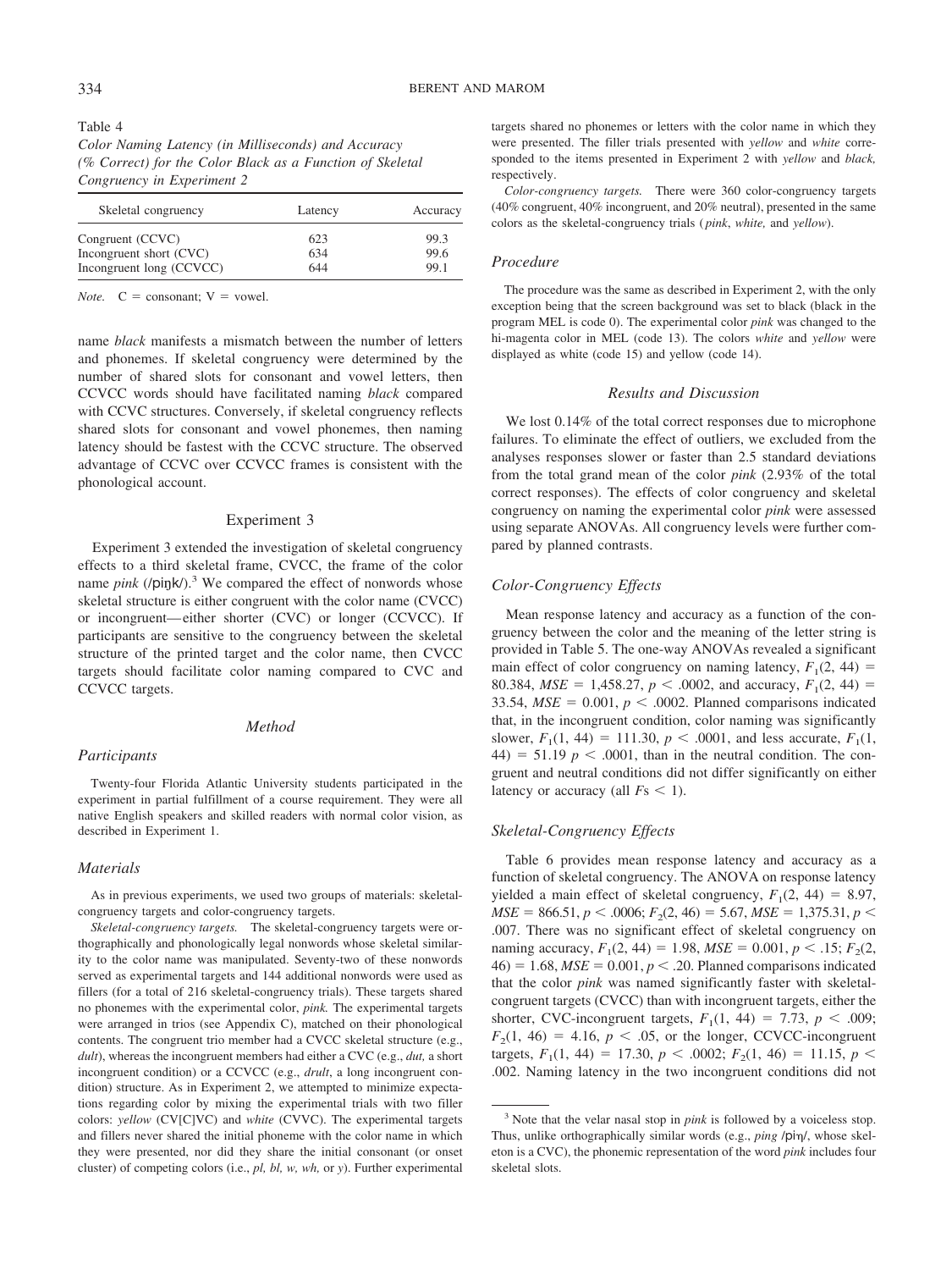| Table 4                                                   |
|-----------------------------------------------------------|
| Color Naming Latency (in Milliseconds) and Accuracy       |
| (% Correct) for the Color Black as a Function of Skeletal |
| Congruency in Experiment 2                                |

| Skeletal congruency      | Latency | Accuracy |
|--------------------------|---------|----------|
| Congruent (CCVC)         | 623     | 99.3     |
| Incongruent short (CVC)  | 634     | 99.6     |
| Incongruent long (CCVCC) | 644     | 99.1     |

*Note.*  $C = \text{consonant}$ ;  $V = \text{vowel}$ .

name *black* manifests a mismatch between the number of letters and phonemes. If skeletal congruency were determined by the number of shared slots for consonant and vowel letters, then CCVCC words should have facilitated naming *black* compared with CCVC structures. Conversely, if skeletal congruency reflects shared slots for consonant and vowel phonemes, then naming latency should be fastest with the CCVC structure. The observed advantage of CCVC over CCVCC frames is consistent with the phonological account.

### Experiment 3

Experiment 3 extended the investigation of skeletal congruency effects to a third skeletal frame, CVCC, the frame of the color name *pink* (/piŋk/).<sup>3</sup> We compared the effect of nonwords whose skeletal structure is either congruent with the color name (CVCC) or incongruent— either shorter (CVC) or longer (CCVCC). If participants are sensitive to the congruency between the skeletal structure of the printed target and the color name, then CVCC targets should facilitate color naming compared to CVC and CCVCC targets.

#### *Method*

#### *Participants*

Twenty-four Florida Atlantic University students participated in the experiment in partial fulfillment of a course requirement. They were all native English speakers and skilled readers with normal color vision, as described in Experiment 1.

#### *Materials*

As in previous experiments, we used two groups of materials: skeletalcongruency targets and color-congruency targets.

*Skeletal-congruency targets.* The skeletal-congruency targets were orthographically and phonologically legal nonwords whose skeletal similarity to the color name was manipulated. Seventy-two of these nonwords served as experimental targets and 144 additional nonwords were used as fillers (for a total of 216 skeletal-congruency trials). These targets shared no phonemes with the experimental color, *pink.* The experimental targets were arranged in trios (see Appendix C), matched on their phonological contents. The congruent trio member had a CVCC skeletal structure (e.g., *dult*), whereas the incongruent members had either a CVC (e.g., *dut,* a short incongruent condition) or a CCVCC (e.g., *drult*, a long incongruent condition) structure. As in Experiment 2, we attempted to minimize expectations regarding color by mixing the experimental trials with two filler colors: *yellow* (CV[C]VC) and *white* (CVVC). The experimental targets and fillers never shared the initial phoneme with the color name in which they were presented, nor did they share the initial consonant (or onset cluster) of competing colors (i.e., *pl, bl, w, wh,* or *y*). Further experimental targets shared no phonemes or letters with the color name in which they were presented. The filler trials presented with *yellow* and *white* corresponded to the items presented in Experiment 2 with *yellow* and *black,* respectively.

*Color-congruency targets.* There were 360 color-congruency targets (40% congruent, 40% incongruent, and 20% neutral), presented in the same colors as the skeletal-congruency trials ( *pink*, *white,* and *yellow*).

### *Procedure*

The procedure was the same as described in Experiment 2, with the only exception being that the screen background was set to black (black in the program MEL is code 0). The experimental color *pink* was changed to the hi-magenta color in MEL (code 13). The colors *white* and *yellow* were displayed as white (code 15) and yellow (code 14).

#### *Results and Discussion*

We lost  $0.14\%$  of the total correct responses due to microphone failures. To eliminate the effect of outliers, we excluded from the analyses responses slower or faster than 2.5 standard deviations from the total grand mean of the color *pink* (2.93% of the total correct responses). The effects of color congruency and skeletal congruency on naming the experimental color *pink* were assessed using separate ANOVAs. All congruency levels were further compared by planned contrasts.

## *Color-Congruency Effects*

Mean response latency and accuracy as a function of the congruency between the color and the meaning of the letter string is provided in Table 5. The one-way ANOVAs revealed a significant main effect of color congruency on naming latency,  $F_1(2, 44) =$ 80.384,  $MSE = 1,458.27$ ,  $p < .0002$ , and accuracy,  $F_1(2, 44) =$ 33.54,  $MSE = 0.001$ ,  $p < .0002$ . Planned comparisons indicated that, in the incongruent condition, color naming was significantly slower,  $F_1(1, 44) = 111.30, p < .0001$ , and less accurate,  $F_1(1, 44) = 111.30, p < .0001$ , and less accurate,  $F_1(1, 44) = 111.30, p < .0001$ , and less accurate,  $F_1(1, 44) = 111.30, p < .0001$ , and less accurate,  $F_1(1, 44) = 111.$  $44$ ) = 51.19  $p < .0001$ , than in the neutral condition. The congruent and neutral conditions did not differ significantly on either latency or accuracy (all  $Fs < 1$ ).

### *Skeletal-Congruency Effects*

Table 6 provides mean response latency and accuracy as a function of skeletal congruency. The ANOVA on response latency yielded a main effect of skeletal congruency,  $F_1(2, 44) = 8.97$ ,  $MSE = 866.51, p < .0006; F_2(2, 46) = 5.67, MSE = 1,375.31, p <$ .007. There was no significant effect of skeletal congruency on naming accuracy,  $F_1(2, 44) = 1.98$ ,  $MSE = 0.001$ ,  $p < .15$ ;  $F_2(2, 44)$  $46$ ) = 1.68,  $MSE = 0.001$ ,  $p < .20$ . Planned comparisons indicated that the color *pink* was named significantly faster with skeletalcongruent targets (CVCC) than with incongruent targets, either the shorter, CVC-incongruent targets,  $F_1(1, 44) = 7.73$ ,  $p < .009$ ;  $F<sub>2</sub>(1, 46) = 4.16, p < .05$ , or the longer, CCVCC-incongruent targets,  $F_1(1, 44) = 17.30, p < .0002$ ;  $F_2(1, 46) = 11.15, p <$ .002. Naming latency in the two incongruent conditions did not

<sup>3</sup> Note that the velar nasal stop in *pink* is followed by a voiceless stop. Thus, unlike orthographically similar words (e.g., *ping* /pin/, whose skeleton is a CVC), the phonemic representation of the word *pink* includes four skeletal slots.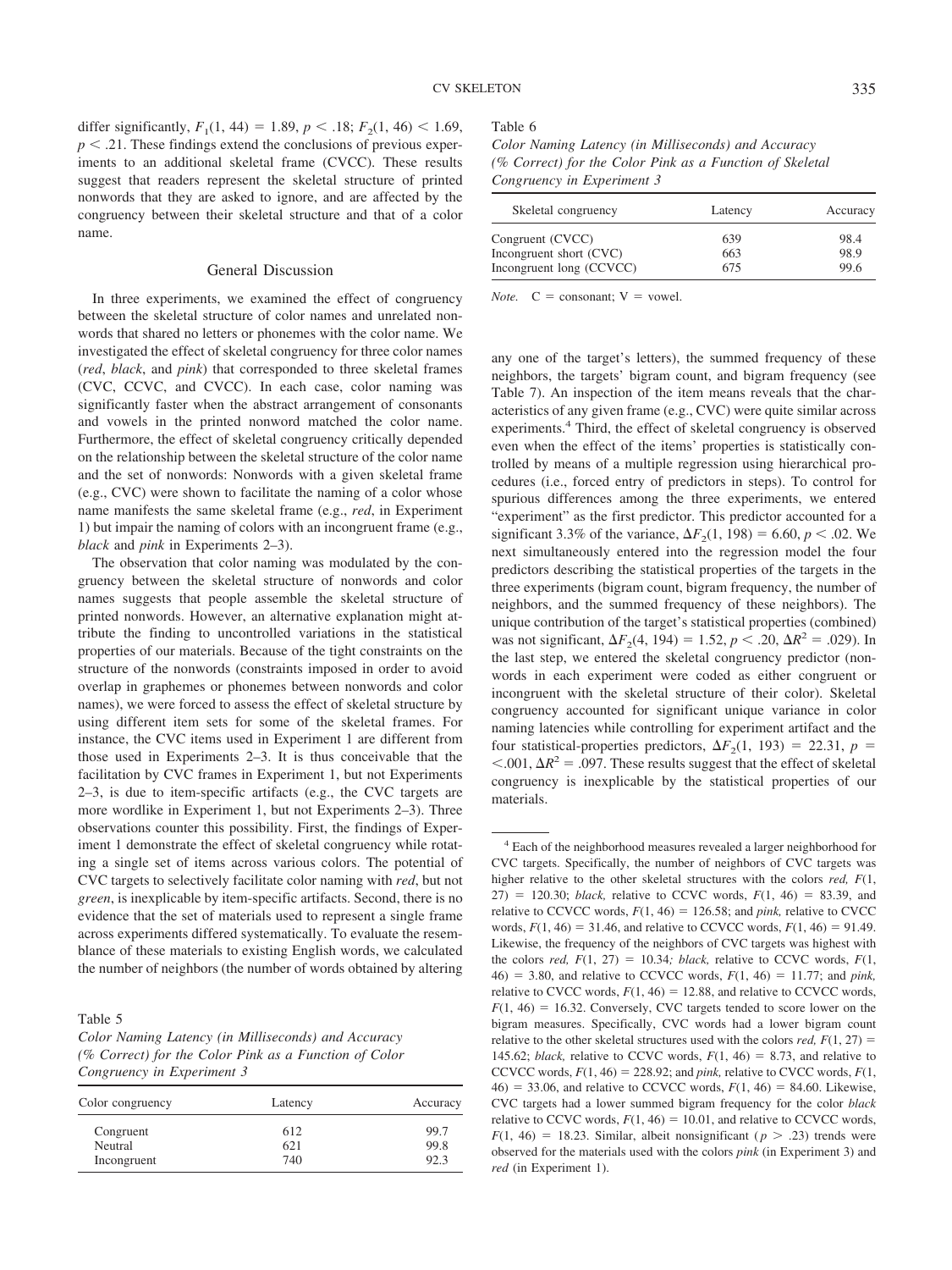differ significantly,  $F_1(1, 44) = 1.89$ ,  $p < .18$ ;  $F_2(1, 46) < 1.69$ ,  $p < .21$ . These findings extend the conclusions of previous experiments to an additional skeletal frame (CVCC). These results suggest that readers represent the skeletal structure of printed nonwords that they are asked to ignore, and are affected by the congruency between their skeletal structure and that of a color name.

#### General Discussion

In three experiments, we examined the effect of congruency between the skeletal structure of color names and unrelated nonwords that shared no letters or phonemes with the color name. We investigated the effect of skeletal congruency for three color names (*red*, *black*, and *pink*) that corresponded to three skeletal frames (CVC, CCVC, and CVCC). In each case, color naming was significantly faster when the abstract arrangement of consonants and vowels in the printed nonword matched the color name. Furthermore, the effect of skeletal congruency critically depended on the relationship between the skeletal structure of the color name and the set of nonwords: Nonwords with a given skeletal frame (e.g., CVC) were shown to facilitate the naming of a color whose name manifests the same skeletal frame (e.g., *red*, in Experiment 1) but impair the naming of colors with an incongruent frame (e.g., *black* and *pink* in Experiments 2–3).

The observation that color naming was modulated by the congruency between the skeletal structure of nonwords and color names suggests that people assemble the skeletal structure of printed nonwords. However, an alternative explanation might attribute the finding to uncontrolled variations in the statistical properties of our materials. Because of the tight constraints on the structure of the nonwords (constraints imposed in order to avoid overlap in graphemes or phonemes between nonwords and color names), we were forced to assess the effect of skeletal structure by using different item sets for some of the skeletal frames. For instance, the CVC items used in Experiment 1 are different from those used in Experiments 2–3. It is thus conceivable that the facilitation by CVC frames in Experiment 1, but not Experiments 2–3, is due to item-specific artifacts (e.g., the CVC targets are more wordlike in Experiment 1, but not Experiments 2–3). Three observations counter this possibility. First, the findings of Experiment 1 demonstrate the effect of skeletal congruency while rotating a single set of items across various colors. The potential of CVC targets to selectively facilitate color naming with *red*, but not *green*, is inexplicable by item-specific artifacts. Second, there is no evidence that the set of materials used to represent a single frame across experiments differed systematically. To evaluate the resemblance of these materials to existing English words, we calculated the number of neighbors (the number of words obtained by altering

#### Table 5

*Color Naming Latency (in Milliseconds) and Accuracy (% Correct) for the Color Pink as a Function of Color Congruency in Experiment 3*

| Color congruency | Latency | Accuracy |
|------------------|---------|----------|
| Congruent        | 612     | 99.7     |
| Neutral          | 621     | 99.8     |
| Incongruent      | 740     | 92.3     |

### Table 6

*Color Naming Latency (in Milliseconds) and Accuracy (% Correct) for the Color Pink as a Function of Skeletal Congruency in Experiment 3*

| Skeletal congruency      | Latency | Accuracy |
|--------------------------|---------|----------|
| Congruent (CVCC)         | 639     | 98.4     |
| Incongruent short (CVC)  | 663     | 98.9     |
| Incongruent long (CCVCC) | 675     | 99.6     |

*Note.*  $C =$  consonant;  $V =$  vowel.

any one of the target's letters), the summed frequency of these neighbors, the targets' bigram count, and bigram frequency (see Table 7). An inspection of the item means reveals that the characteristics of any given frame (e.g., CVC) were quite similar across experiments.<sup>4</sup> Third, the effect of skeletal congruency is observed even when the effect of the items' properties is statistically controlled by means of a multiple regression using hierarchical procedures (i.e., forced entry of predictors in steps). To control for spurious differences among the three experiments, we entered "experiment" as the first predictor. This predictor accounted for a significant 3.3% of the variance,  $\Delta F_2(1, 198) = 6.60, p < .02$ . We next simultaneously entered into the regression model the four predictors describing the statistical properties of the targets in the three experiments (bigram count, bigram frequency, the number of neighbors, and the summed frequency of these neighbors). The unique contribution of the target's statistical properties (combined) was not significant,  $\Delta F_2(4, 194) = 1.52$ ,  $p < .20$ ,  $\Delta R^2 = .029$ ). In the last step, we entered the skeletal congruency predictor (nonwords in each experiment were coded as either congruent or incongruent with the skeletal structure of their color). Skeletal congruency accounted for significant unique variance in color naming latencies while controlling for experiment artifact and the four statistical-properties predictors,  $\Delta F_2(1, 193) = 22.31$ ,  $p =$  $\langle 0.001, \Delta R^2 = .097$ . These results suggest that the effect of skeletal congruency is inexplicable by the statistical properties of our materials.

<sup>4</sup> Each of the neighborhood measures revealed a larger neighborhood for CVC targets. Specifically, the number of neighbors of CVC targets was higher relative to the other skeletal structures with the colors *red, F*(1,  $27) = 120.30$ ; *black*, relative to CCVC words,  $F(1, 46) = 83.39$ , and relative to CCVCC words,  $F(1, 46) = 126.58$ ; and *pink*, relative to CVCC words,  $F(1, 46) = 31.46$ , and relative to CCVCC words,  $F(1, 46) = 91.49$ . Likewise, the frequency of the neighbors of CVC targets was highest with the colors *red,*  $F(1, 27) = 10.34$ ; *black,* relative to CCVC words,  $F(1, 27) = 10.34$ ; *black,* relative to CCVC  $46) = 3.80$ , and relative to CCVCC words,  $F(1, 46) = 11.77$ ; and *pink*, relative to CVCC words,  $F(1, 46) = 12.88$ , and relative to CCVCC words,  $F(1, 46) = 16.32$ . Conversely, CVC targets tended to score lower on the bigram measures. Specifically, CVC words had a lower bigram count relative to the other skeletal structures used with the colors  $red, F(1, 27) =$ 145.62; *black*, relative to CCVC words,  $F(1, 46) = 8.73$ , and relative to CCVCC words,  $F(1, 46) = 228.92$ ; and *pink*, relative to CVCC words,  $F(1, 46) = 228.92$ ;  $46$ ) = 33.06, and relative to CCVCC words,  $F(1, 46)$  = 84.60. Likewise, CVC targets had a lower summed bigram frequency for the color *black* relative to CCVC words,  $F(1, 46) = 10.01$ , and relative to CCVCC words,  $F(1, 46) = 18.23$ . Similar, albeit nonsignificant ( $p > .23$ ) trends were observed for the materials used with the colors *pink* (in Experiment 3) and *red* (in Experiment 1).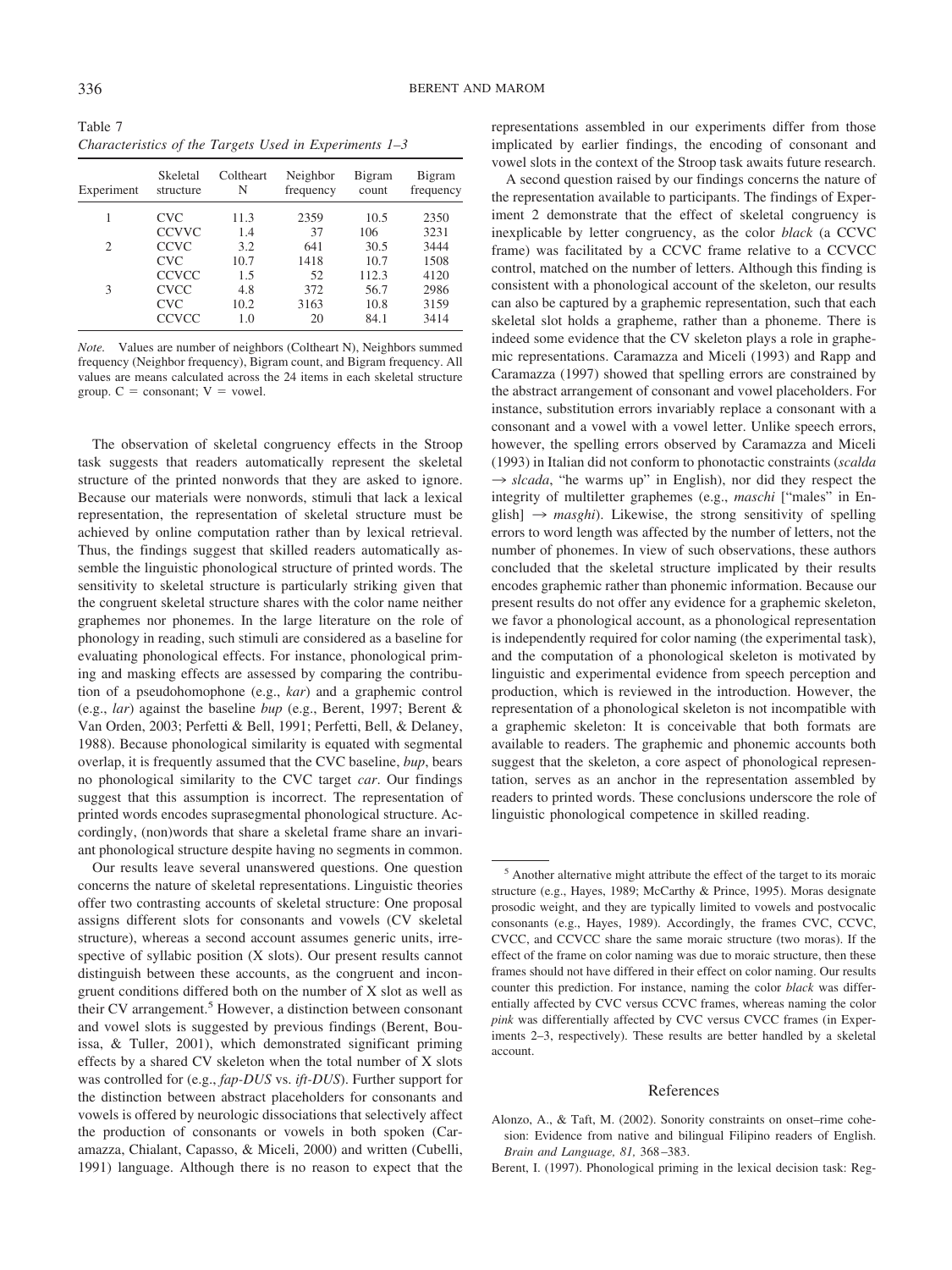Table 7 *Characteristics of the Targets Used in Experiments 1–3*

| Experiment | Skeletal<br>structure | Coltheart<br>N | Neighbor<br>frequency | Bigram<br>count | Bigram<br>frequency |
|------------|-----------------------|----------------|-----------------------|-----------------|---------------------|
|            | <b>CVC</b>            | 11.3           | 2359                  | 10.5            | 2350                |
|            | <b>CCVVC</b>          | 1.4            | 37                    | 106             | 3231                |
| 2          | <b>CCVC</b>           | 3.2            | 641                   | 30.5            | 3444                |
|            | <b>CVC</b>            | 10.7           | 1418                  | 10.7            | 1508                |
|            | <b>CCVCC</b>          | 1.5            | 52                    | 112.3           | 4120                |
| 3          | <b>CVCC</b>           | 4.8            | 372                   | 56.7            | 2986                |
|            | <b>CVC</b>            | 10.2           | 3163                  | 10.8            | 3159                |
|            | <b>CCVCC</b>          | 1.0            | 20                    | 84.1            | 3414                |

*Note.* Values are number of neighbors (Coltheart N), Neighbors summed frequency (Neighbor frequency), Bigram count, and Bigram frequency. All values are means calculated across the 24 items in each skeletal structure group.  $C =$  consonant;  $V =$  vowel.

The observation of skeletal congruency effects in the Stroop task suggests that readers automatically represent the skeletal structure of the printed nonwords that they are asked to ignore. Because our materials were nonwords, stimuli that lack a lexical representation, the representation of skeletal structure must be achieved by online computation rather than by lexical retrieval. Thus, the findings suggest that skilled readers automatically assemble the linguistic phonological structure of printed words. The sensitivity to skeletal structure is particularly striking given that the congruent skeletal structure shares with the color name neither graphemes nor phonemes. In the large literature on the role of phonology in reading, such stimuli are considered as a baseline for evaluating phonological effects. For instance, phonological priming and masking effects are assessed by comparing the contribution of a pseudohomophone (e.g., *kar*) and a graphemic control (e.g., *lar*) against the baseline *bup* (e.g., Berent, 1997; Berent & Van Orden, 2003; Perfetti & Bell, 1991; Perfetti, Bell, & Delaney, 1988). Because phonological similarity is equated with segmental overlap, it is frequently assumed that the CVC baseline, *bup*, bears no phonological similarity to the CVC target *car*. Our findings suggest that this assumption is incorrect. The representation of printed words encodes suprasegmental phonological structure. Accordingly, (non)words that share a skeletal frame share an invariant phonological structure despite having no segments in common.

Our results leave several unanswered questions. One question concerns the nature of skeletal representations. Linguistic theories offer two contrasting accounts of skeletal structure: One proposal assigns different slots for consonants and vowels (CV skeletal structure), whereas a second account assumes generic units, irrespective of syllabic position (X slots). Our present results cannot distinguish between these accounts, as the congruent and incongruent conditions differed both on the number of X slot as well as their CV arrangement.<sup>5</sup> However, a distinction between consonant and vowel slots is suggested by previous findings (Berent, Bouissa, & Tuller, 2001), which demonstrated significant priming effects by a shared CV skeleton when the total number of X slots was controlled for (e.g., *fap-DUS* vs. *ift-DUS*). Further support for the distinction between abstract placeholders for consonants and vowels is offered by neurologic dissociations that selectively affect the production of consonants or vowels in both spoken (Caramazza, Chialant, Capasso, & Miceli, 2000) and written (Cubelli, 1991) language. Although there is no reason to expect that the representations assembled in our experiments differ from those implicated by earlier findings, the encoding of consonant and vowel slots in the context of the Stroop task awaits future research.

A second question raised by our findings concerns the nature of the representation available to participants. The findings of Experiment 2 demonstrate that the effect of skeletal congruency is inexplicable by letter congruency, as the color *black* (a CCVC frame) was facilitated by a CCVC frame relative to a CCVCC control, matched on the number of letters. Although this finding is consistent with a phonological account of the skeleton, our results can also be captured by a graphemic representation, such that each skeletal slot holds a grapheme, rather than a phoneme. There is indeed some evidence that the CV skeleton plays a role in graphemic representations. Caramazza and Miceli (1993) and Rapp and Caramazza (1997) showed that spelling errors are constrained by the abstract arrangement of consonant and vowel placeholders. For instance, substitution errors invariably replace a consonant with a consonant and a vowel with a vowel letter. Unlike speech errors, however, the spelling errors observed by Caramazza and Miceli (1993) in Italian did not conform to phonotactic constraints (*scalda*  $\rightarrow$  *slcada*, "he warms up" in English), nor did they respect the integrity of multiletter graphemes (e.g., *maschi* ["males" in English]  $\rightarrow$  *masghi*). Likewise, the strong sensitivity of spelling errors to word length was affected by the number of letters, not the number of phonemes. In view of such observations, these authors concluded that the skeletal structure implicated by their results encodes graphemic rather than phonemic information. Because our present results do not offer any evidence for a graphemic skeleton, we favor a phonological account, as a phonological representation is independently required for color naming (the experimental task), and the computation of a phonological skeleton is motivated by linguistic and experimental evidence from speech perception and production, which is reviewed in the introduction. However, the representation of a phonological skeleton is not incompatible with a graphemic skeleton: It is conceivable that both formats are available to readers. The graphemic and phonemic accounts both suggest that the skeleton, a core aspect of phonological representation, serves as an anchor in the representation assembled by readers to printed words. These conclusions underscore the role of linguistic phonological competence in skilled reading.

#### References

Berent, I. (1997). Phonological priming in the lexical decision task: Reg-

<sup>5</sup> Another alternative might attribute the effect of the target to its moraic structure (e.g., Hayes, 1989; McCarthy & Prince, 1995). Moras designate prosodic weight, and they are typically limited to vowels and postvocalic consonants (e.g., Hayes, 1989). Accordingly, the frames CVC, CCVC, CVCC, and CCVCC share the same moraic structure (two moras). If the effect of the frame on color naming was due to moraic structure, then these frames should not have differed in their effect on color naming. Our results counter this prediction. For instance, naming the color *black* was differentially affected by CVC versus CCVC frames, whereas naming the color *pink* was differentially affected by CVC versus CVCC frames (in Experiments 2–3, respectively). These results are better handled by a skeletal account.

Alonzo, A., & Taft, M. (2002). Sonority constraints on onset–rime cohesion: Evidence from native and bilingual Filipino readers of English. *Brain and Language, 81,* 368 –383.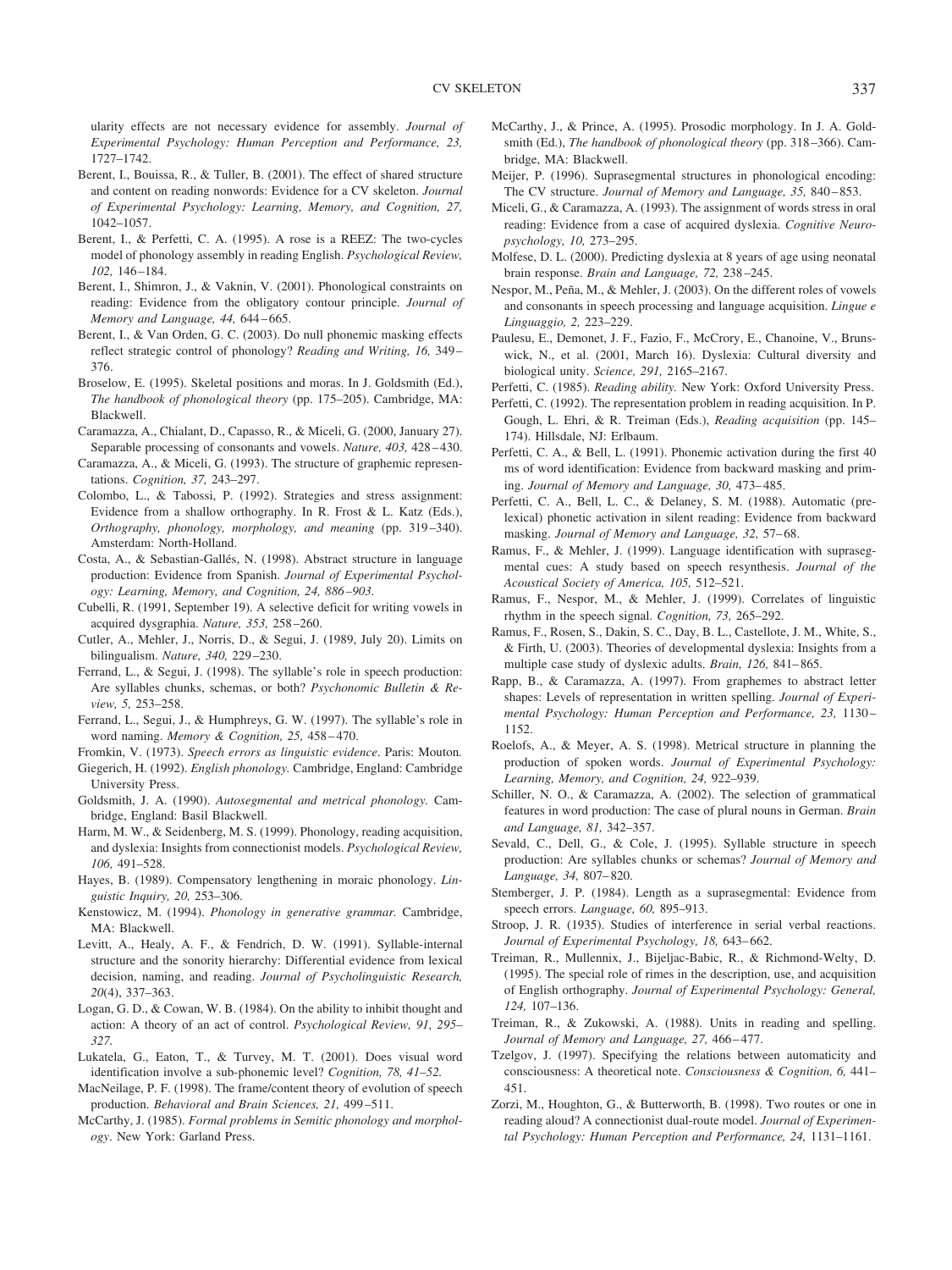ularity effects are not necessary evidence for assembly. *Journal of Experimental Psychology: Human Perception and Performance, 23,* 1727–1742.

- Berent, I., Bouissa, R., & Tuller, B. (2001). The effect of shared structure and content on reading nonwords: Evidence for a CV skeleton. *Journal of Experimental Psychology: Learning, Memory, and Cognition, 27,* 1042–1057.
- Berent, I., & Perfetti, C. A. (1995). A rose is a REEZ: The two-cycles model of phonology assembly in reading English. *Psychological Review, 102,* 146 –184.
- Berent, I., Shimron, J., & Vaknin, V. (2001). Phonological constraints on reading: Evidence from the obligatory contour principle. *Journal of Memory and Language, 44,* 644 – 665.
- Berent, I., & Van Orden, G. C. (2003). Do null phonemic masking effects reflect strategic control of phonology? *Reading and Writing, 16,* 349 – 376.
- Broselow, E. (1995). Skeletal positions and moras. In J. Goldsmith (Ed.), *The handbook of phonological theory* (pp. 175–205). Cambridge, MA: Blackwell.
- Caramazza, A., Chialant, D., Capasso, R., & Miceli, G. (2000, January 27). Separable processing of consonants and vowels. *Nature, 403,* 428 – 430.
- Caramazza, A., & Miceli, G. (1993). The structure of graphemic representations. *Cognition, 37,* 243–297.
- Colombo, L., & Tabossi, P. (1992). Strategies and stress assignment: Evidence from a shallow orthography. In R. Frost & L. Katz (Eds.), *Orthography, phonology, morphology, and meaning* (pp. 319 –340). Amsterdam: North-Holland.
- Costa, A., & Sebastian-Gallés, N. (1998). Abstract structure in language production: Evidence from Spanish. *Journal of Experimental Psychology: Learning, Memory, and Cognition, 24, 886 –903.*
- Cubelli, R. (1991, September 19). A selective deficit for writing vowels in acquired dysgraphia. *Nature, 353,* 258 –260.
- Cutler, A., Mehler, J., Norris, D., & Segui, J. (1989, July 20). Limits on bilingualism. *Nature, 340,* 229 –230.
- Ferrand, L., & Segui, J. (1998). The syllable's role in speech production: Are syllables chunks, schemas, or both? *Psychonomic Bulletin & Review, 5,* 253–258.
- Ferrand, L., Segui, J., & Humphreys, G. W. (1997). The syllable's role in word naming. *Memory & Cognition, 25,* 458 – 470.
- Fromkin, V. (1973). *Speech errors as linguistic evidence*. Paris: Mouton*.*
- Giegerich, H. (1992). *English phonology.* Cambridge, England: Cambridge University Press.
- Goldsmith, J. A. (1990). *Autosegmental and metrical phonology.* Cambridge, England: Basil Blackwell.
- Harm, M. W., & Seidenberg, M. S. (1999). Phonology, reading acquisition, and dyslexia: Insights from connectionist models. *Psychological Review, 106,* 491–528.
- Hayes, B. (1989). Compensatory lengthening in moraic phonology. *Linguistic Inquiry, 20,* 253–306.
- Kenstowicz, M. (1994). *Phonology in generative grammar.* Cambridge, MA: Blackwell.
- Levitt, A., Healy, A. F., & Fendrich, D. W. (1991). Syllable-internal structure and the sonority hierarchy: Differential evidence from lexical decision, naming, and reading. *Journal of Psycholinguistic Research, 20*(4), 337–363.
- Logan, G. D., & Cowan, W. B. (1984). On the ability to inhibit thought and action: A theory of an act of control. *Psychological Review, 91, 295– 327.*
- Lukatela, G., Eaton, T., & Turvey, M. T. (2001). Does visual word identification involve a sub-phonemic level? *Cognition, 78, 41–52.*
- MacNeilage, P. F. (1998). The frame/content theory of evolution of speech production. *Behavioral and Brain Sciences, 21,* 499 –511.
- McCarthy, J. (1985). *Formal problems in Semitic phonology and morphology*. New York: Garland Press.
- McCarthy, J., & Prince, A. (1995). Prosodic morphology. In J. A. Goldsmith (Ed.), *The handbook of phonological theory* (pp. 318 –366). Cambridge, MA: Blackwell.
- Meijer, P. (1996). Suprasegmental structures in phonological encoding: The CV structure. *Journal of Memory and Language*, 35, 840-853.
- Miceli, G., & Caramazza, A. (1993). The assignment of words stress in oral reading: Evidence from a case of acquired dyslexia. *Cognitive Neuropsychology, 10,* 273–295.
- Molfese, D. L. (2000). Predicting dyslexia at 8 years of age using neonatal brain response. *Brain and Language, 72,* 238 –245.
- Nespor, M., Peña, M., & Mehler, J. (2003). On the different roles of vowels and consonants in speech processing and language acquisition. *Lingue e Linguaggio, 2,* 223–229.
- Paulesu, E., Demonet, J. F., Fazio, F., McCrory, E., Chanoine, V., Brunswick, N., et al. (2001, March 16). Dyslexia: Cultural diversity and biological unity. *Science, 291,* 2165–2167.
- Perfetti, C. (1985). *Reading ability.* New York: Oxford University Press.
- Perfetti, C. (1992). The representation problem in reading acquisition. In P. Gough, L. Ehri, & R. Treiman (Eds.), *Reading acquisition* (pp. 145– 174). Hillsdale, NJ: Erlbaum.
- Perfetti, C. A., & Bell, L. (1991). Phonemic activation during the first 40 ms of word identification: Evidence from backward masking and priming. *Journal of Memory and Language, 30,* 473– 485.
- Perfetti, C. A., Bell, L. C., & Delaney, S. M. (1988). Automatic (prelexical) phonetic activation in silent reading: Evidence from backward masking. *Journal of Memory and Language, 32,* 57– 68.
- Ramus, F., & Mehler, J. (1999). Language identification with suprasegmental cues: A study based on speech resynthesis. *Journal of the Acoustical Society of America, 105,* 512–521.
- Ramus, F., Nespor, M., & Mehler, J. (1999). Correlates of linguistic rhythm in the speech signal. *Cognition, 73,* 265–292.
- Ramus, F., Rosen, S., Dakin, S. C., Day, B. L., Castellote, J. M., White, S., & Firth, U. (2003). Theories of developmental dyslexia: Insights from a multiple case study of dyslexic adults. *Brain, 126,* 841– 865.
- Rapp, B., & Caramazza, A. (1997). From graphemes to abstract letter shapes: Levels of representation in written spelling. *Journal of Experimental Psychology: Human Perception and Performance, 23,* 1130 – 1152.
- Roelofs, A., & Meyer, A. S. (1998). Metrical structure in planning the production of spoken words. *Journal of Experimental Psychology: Learning, Memory, and Cognition, 24,* 922–939.
- Schiller, N. O., & Caramazza, A. (2002). The selection of grammatical features in word production: The case of plural nouns in German. *Brain and Language, 81,* 342–357.
- Sevald, C., Dell, G., & Cole, J. (1995). Syllable structure in speech production: Are syllables chunks or schemas? *Journal of Memory and Language, 34,* 807– 820.
- Stemberger, J. P. (1984). Length as a suprasegmental: Evidence from speech errors. *Language, 60,* 895–913.
- Stroop, J. R. (1935). Studies of interference in serial verbal reactions. *Journal of Experimental Psychology, 18,* 643– 662.
- Treiman, R., Mullennix, J., Bijeljac-Babic, R., & Richmond-Welty, D. (1995). The special role of rimes in the description, use, and acquisition of English orthography. *Journal of Experimental Psychology: General, 124,* 107–136.
- Treiman, R., & Zukowski, A. (1988). Units in reading and spelling. *Journal of Memory and Language, 27,* 466 – 477.
- Tzelgov, J. (1997). Specifying the relations between automaticity and consciousness: A theoretical note. *Consciousness & Cognition, 6,* 441– 451.
- Zorzi, M., Houghton, G., & Butterworth, B. (1998). Two routes or one in reading aloud? A connectionist dual-route model. *Journal of Experimental Psychology: Human Perception and Performance, 24,* 1131–1161.